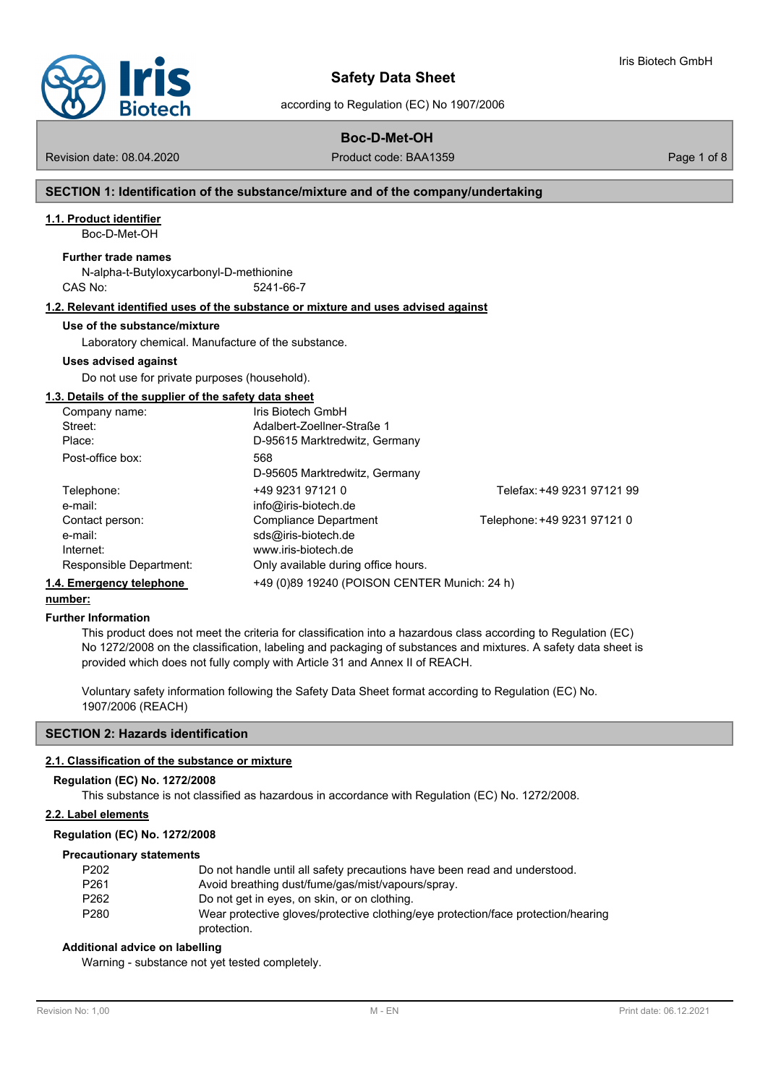

according to Regulation (EC) No 1907/2006

### **Boc-D-Met-OH**

Revision date: 08.04.2020 **Product code: BAA1359** Page 1 of 8

Iris Biotech GmbH

### **SECTION 1: Identification of the substance/mixture and of the company/undertaking**

### **1.1. Product identifier**

Boc-D-Met-OH

#### **Further trade names**

N-alpha-t-Butyloxycarbonyl-D-methionine CAS No: 5241-66-7

### **1.2. Relevant identified uses of the substance or mixture and uses advised against**

#### **Use of the substance/mixture**

Laboratory chemical. Manufacture of the substance.

#### **Uses advised against**

Do not use for private purposes (household).

### **1.3. Details of the supplier of the safety data sheet**

| Company name:            | Iris Biotech GmbH                            |                             |
|--------------------------|----------------------------------------------|-----------------------------|
| Street:                  | Adalbert-Zoellner-Straße 1                   |                             |
| Place:                   | D-95615 Marktredwitz, Germany                |                             |
| Post-office box:         | 568                                          |                             |
|                          | D-95605 Marktredwitz, Germany                |                             |
| Telephone:               | +49 9231 97121 0                             | Telefax: +49 9231 97121 99  |
| e-mail:                  | info@iris-biotech.de                         |                             |
| Contact person:          | Compliance Department                        | Telephone: +49 9231 97121 0 |
| e-mail:                  | sds@iris-biotech.de                          |                             |
| Internet:                | www.iris-biotech.de                          |                             |
| Responsible Department:  | Only available during office hours.          |                             |
| 1.4. Emergency telephone | +49 (0)89 19240 (POISON CENTER Munich: 24 h) |                             |

### **number:**

#### **Further Information**

This product does not meet the criteria for classification into a hazardous class according to Regulation (EC) No 1272/2008 on the classification, labeling and packaging of substances and mixtures. A safety data sheet is provided which does not fully comply with Article 31 and Annex II of REACH.

Voluntary safety information following the Safety Data Sheet format according to Regulation (EC) No. 1907/2006 (REACH)

### **SECTION 2: Hazards identification**

### **2.1. Classification of the substance or mixture**

#### **Regulation (EC) No. 1272/2008**

This substance is not classified as hazardous in accordance with Regulation (EC) No. 1272/2008.

### **2.2. Label elements**

#### **Regulation (EC) No. 1272/2008**

#### **Precautionary statements**

| P <sub>202</sub> | Do not handle until all safety precautions have been read and understood.         |
|------------------|-----------------------------------------------------------------------------------|
| P <sub>261</sub> | Avoid breathing dust/fume/gas/mist/vapours/spray.                                 |
| P <sub>262</sub> | Do not get in eyes, on skin, or on clothing.                                      |
| P <sub>280</sub> | Wear protective gloves/protective clothing/eye protection/face protection/hearing |
|                  | protection.                                                                       |

### **Additional advice on labelling**

Warning - substance not yet tested completely.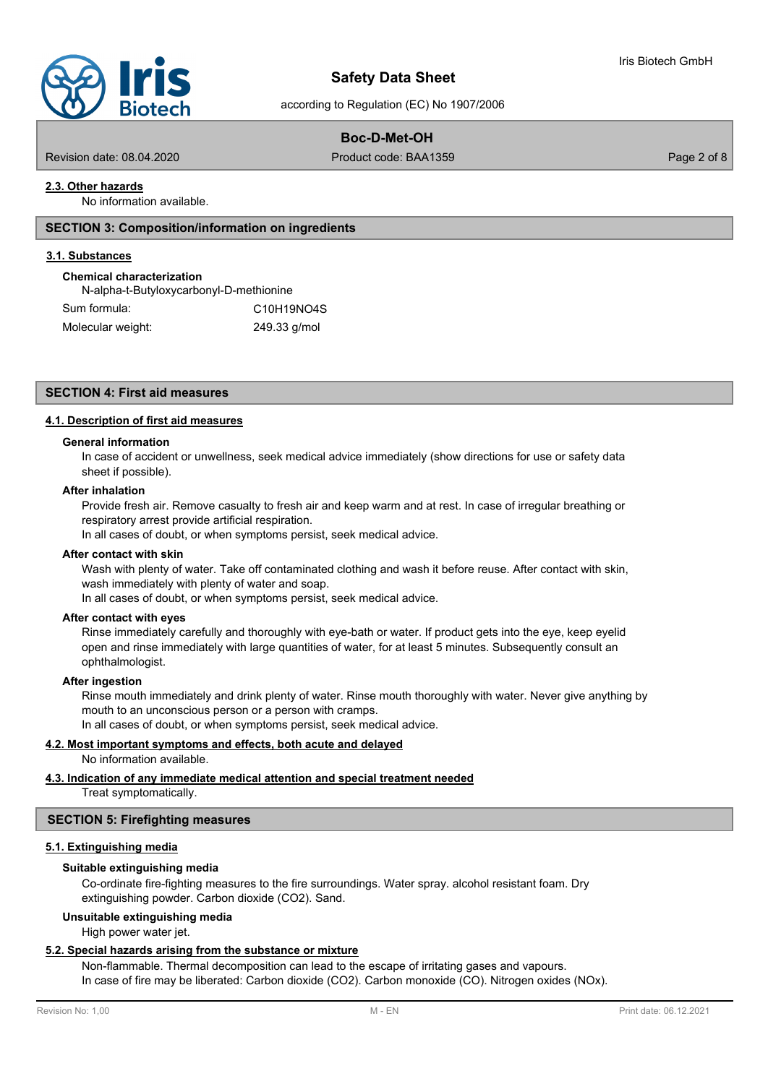

### according to Regulation (EC) No 1907/2006

### **Boc-D-Met-OH**

Revision date: 08.04.2020 Product code: BAA1359 Page 2 of 8

### **2.3. Other hazards**

No information available.

### **SECTION 3: Composition/information on ingredients**

### **3.1. Substances**

#### **Chemical characterization**

N-alpha-t-Butyloxycarbonyl-D-methionine Sum formula: C10H19NO4S Molecular weight: 249.33 g/mol

### **SECTION 4: First aid measures**

### **4.1. Description of first aid measures**

### **General information**

In case of accident or unwellness, seek medical advice immediately (show directions for use or safety data sheet if possible).

#### **After inhalation**

Provide fresh air. Remove casualty to fresh air and keep warm and at rest. In case of irregular breathing or respiratory arrest provide artificial respiration.

In all cases of doubt, or when symptoms persist, seek medical advice.

#### **After contact with skin**

Wash with plenty of water. Take off contaminated clothing and wash it before reuse. After contact with skin, wash immediately with plenty of water and soap.

In all cases of doubt, or when symptoms persist, seek medical advice.

### **After contact with eyes**

Rinse immediately carefully and thoroughly with eye-bath or water. If product gets into the eye, keep eyelid open and rinse immediately with large quantities of water, for at least 5 minutes. Subsequently consult an ophthalmologist.

#### **After ingestion**

Rinse mouth immediately and drink plenty of water. Rinse mouth thoroughly with water. Never give anything by mouth to an unconscious person or a person with cramps.

In all cases of doubt, or when symptoms persist, seek medical advice.

# **4.2. Most important symptoms and effects, both acute and delayed**

No information available.

### **4.3. Indication of any immediate medical attention and special treatment needed**

Treat symptomatically.

#### **SECTION 5: Firefighting measures**

#### **5.1. Extinguishing media**

#### **Suitable extinguishing media**

Co-ordinate fire-fighting measures to the fire surroundings. Water spray. alcohol resistant foam. Dry extinguishing powder. Carbon dioxide (CO2). Sand.

#### **Unsuitable extinguishing media**

High power water jet.

#### **5.2. Special hazards arising from the substance or mixture**

Non-flammable. Thermal decomposition can lead to the escape of irritating gases and vapours. In case of fire may be liberated: Carbon dioxide (CO2). Carbon monoxide (CO). Nitrogen oxides (NOx).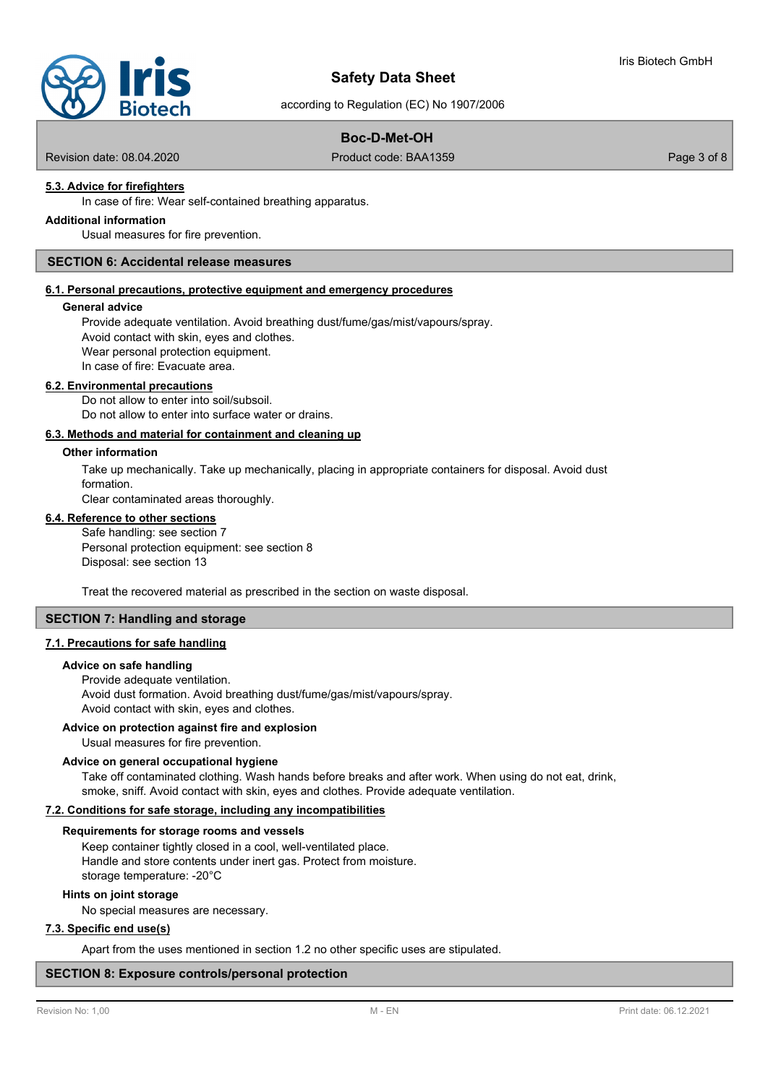

according to Regulation (EC) No 1907/2006

## **Boc-D-Met-OH**

Revision date: 08.04.2020 Product code: BAA1359 Page 3 of 8

## **5.3. Advice for firefighters**

In case of fire: Wear self-contained breathing apparatus.

# **Additional information**

Usual measures for fire prevention.

### **SECTION 6: Accidental release measures**

### **6.1. Personal precautions, protective equipment and emergency procedures**

#### **General advice**

Provide adequate ventilation. Avoid breathing dust/fume/gas/mist/vapours/spray. Avoid contact with skin, eyes and clothes. Wear personal protection equipment. In case of fire: Evacuate area.

#### **6.2. Environmental precautions**

Do not allow to enter into soil/subsoil. Do not allow to enter into surface water or drains.

#### **6.3. Methods and material for containment and cleaning up**

### **Other information**

Take up mechanically. Take up mechanically, placing in appropriate containers for disposal. Avoid dust formation.

Clear contaminated areas thoroughly.

### **6.4. Reference to other sections**

Safe handling: see section 7 Personal protection equipment: see section 8 Disposal: see section 13

Treat the recovered material as prescribed in the section on waste disposal.

### **SECTION 7: Handling and storage**

### **7.1. Precautions for safe handling**

#### **Advice on safe handling**

Provide adequate ventilation. Avoid dust formation. Avoid breathing dust/fume/gas/mist/vapours/spray. Avoid contact with skin, eyes and clothes.

### **Advice on protection against fire and explosion**

Usual measures for fire prevention.

### **Advice on general occupational hygiene**

Take off contaminated clothing. Wash hands before breaks and after work. When using do not eat, drink, smoke, sniff. Avoid contact with skin, eyes and clothes. Provide adequate ventilation.

### **7.2. Conditions for safe storage, including any incompatibilities**

#### **Requirements for storage rooms and vessels**

Keep container tightly closed in a cool, well-ventilated place. Handle and store contents under inert gas. Protect from moisture. storage temperature: -20°C

### **Hints on joint storage**

No special measures are necessary.

### **7.3. Specific end use(s)**

Apart from the uses mentioned in section 1.2 no other specific uses are stipulated.

### **SECTION 8: Exposure controls/personal protection**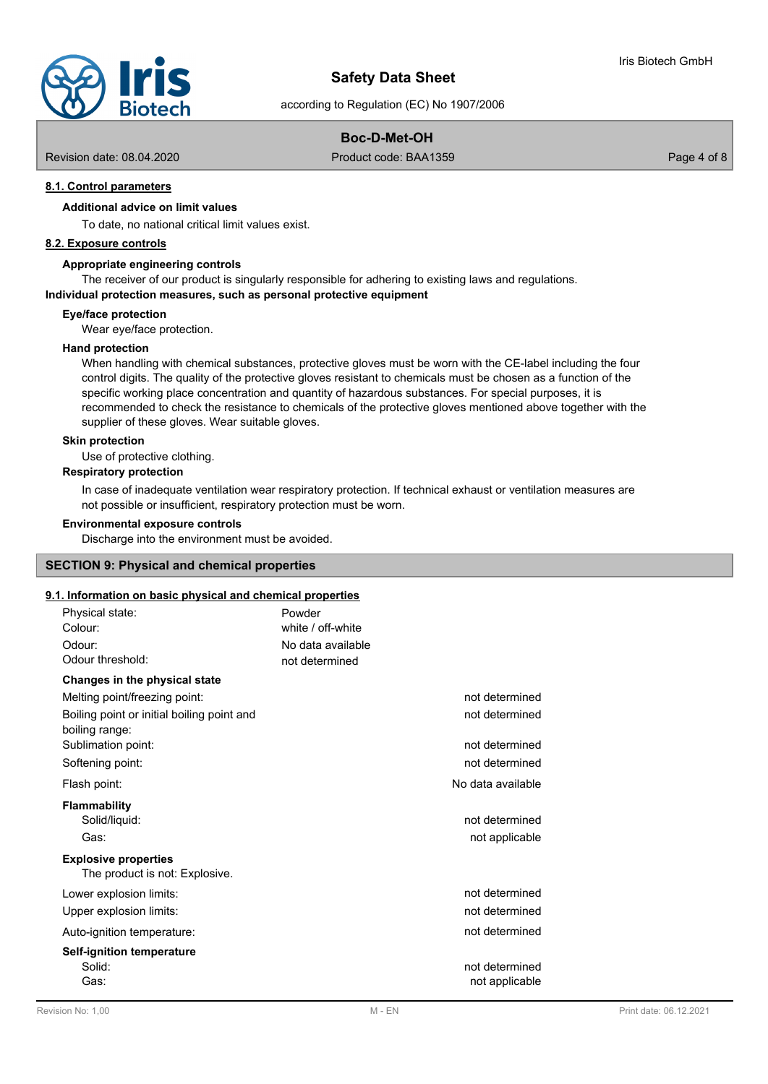

according to Regulation (EC) No 1907/2006

## **Boc-D-Met-OH**

Revision date: 08.04.2020 Product code: BAA1359 Page 4 of 8

### **8.1. Control parameters**

### **Additional advice on limit values**

To date, no national critical limit values exist.

### **8.2. Exposure controls**

### **Appropriate engineering controls**

The receiver of our product is singularly responsible for adhering to existing laws and regulations.

### **Individual protection measures, such as personal protective equipment**

**Eye/face protection**

Wear eye/face protection.

#### **Hand protection**

When handling with chemical substances, protective gloves must be worn with the CE-label including the four control digits. The quality of the protective gloves resistant to chemicals must be chosen as a function of the specific working place concentration and quantity of hazardous substances. For special purposes, it is recommended to check the resistance to chemicals of the protective gloves mentioned above together with the supplier of these gloves. Wear suitable gloves.

### **Skin protection**

Use of protective clothing.

### **Respiratory protection**

In case of inadequate ventilation wear respiratory protection. If technical exhaust or ventilation measures are not possible or insufficient, respiratory protection must be worn.

#### **Environmental exposure controls**

Discharge into the environment must be avoided.

### **SECTION 9: Physical and chemical properties**

# **9.1. Information on basic physical and chemical properties**

| <u>. Information on basic privilegi and chemical properties</u><br>Physical state: | Powder                           |
|------------------------------------------------------------------------------------|----------------------------------|
| Colour:                                                                            | white / off-white                |
| Odour:                                                                             | No data available                |
| Odour threshold:                                                                   | not determined                   |
| Changes in the physical state                                                      |                                  |
| Melting point/freezing point:                                                      | not determined                   |
| Boiling point or initial boiling point and<br>boiling range:                       | not determined                   |
| Sublimation point:                                                                 | not determined                   |
| Softening point:                                                                   | not determined                   |
| Flash point:                                                                       | No data available                |
| <b>Flammability</b>                                                                |                                  |
| Solid/liquid:                                                                      | not determined                   |
| Gas:                                                                               | not applicable                   |
| <b>Explosive properties</b><br>The product is not: Explosive.                      |                                  |
|                                                                                    |                                  |
| Lower explosion limits:                                                            | not determined                   |
| Upper explosion limits:                                                            | not determined                   |
| Auto-ignition temperature:                                                         | not determined                   |
| <b>Self-ignition temperature</b><br>Solid:<br>Gas:                                 | not determined<br>not applicable |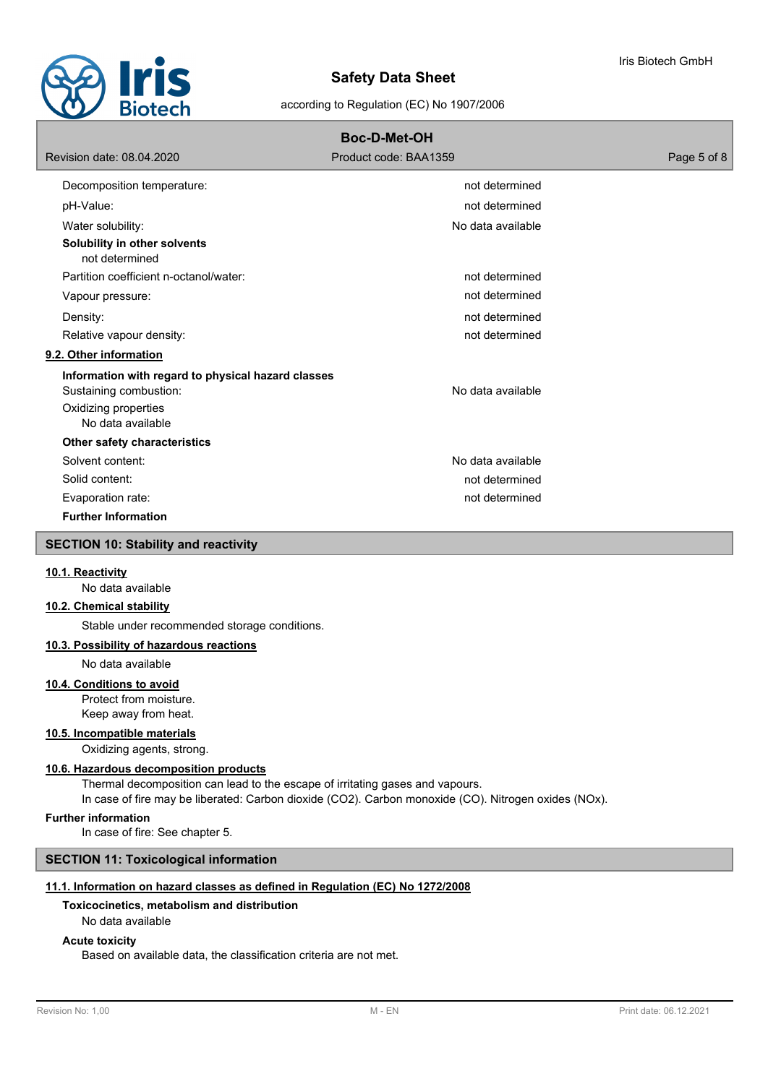

| <b>Boc-D-Met-OH</b>                                                                                                       |                       |             |  |  |
|---------------------------------------------------------------------------------------------------------------------------|-----------------------|-------------|--|--|
| Revision date: 08.04.2020                                                                                                 | Product code: BAA1359 | Page 5 of 8 |  |  |
| Decomposition temperature:                                                                                                | not determined        |             |  |  |
| pH-Value:                                                                                                                 | not determined        |             |  |  |
| Water solubility:                                                                                                         | No data available     |             |  |  |
| Solubility in other solvents<br>not determined                                                                            |                       |             |  |  |
| Partition coefficient n-octanol/water:                                                                                    | not determined        |             |  |  |
| Vapour pressure:                                                                                                          | not determined        |             |  |  |
| Density:                                                                                                                  | not determined        |             |  |  |
| Relative vapour density:                                                                                                  | not determined        |             |  |  |
| 9.2. Other information                                                                                                    |                       |             |  |  |
| Information with regard to physical hazard classes<br>Sustaining combustion:<br>Oxidizing properties<br>No data available | No data available     |             |  |  |
| Other safety characteristics                                                                                              |                       |             |  |  |
| Solvent content:                                                                                                          | No data available     |             |  |  |
| Solid content:                                                                                                            | not determined        |             |  |  |
| Evaporation rate:                                                                                                         | not determined        |             |  |  |
| <b>Further Information</b>                                                                                                |                       |             |  |  |
| <b>SECTION 10: Stability and reactivity</b>                                                                               |                       |             |  |  |
|                                                                                                                           |                       |             |  |  |

#### **10.1. Reactivity**

No data available

### **10.2. Chemical stability**

Stable under recommended storage conditions.

## **10.3. Possibility of hazardous reactions**

No data available

### **10.4. Conditions to avoid**

Protect from moisture. Keep away from heat.

#### **10.5. Incompatible materials**

Oxidizing agents, strong.

#### **10.6. Hazardous decomposition products**

Thermal decomposition can lead to the escape of irritating gases and vapours. In case of fire may be liberated: Carbon dioxide (CO2). Carbon monoxide (CO). Nitrogen oxides (NOx).

### **Further information**

In case of fire: See chapter 5.

### **SECTION 11: Toxicological information**

### **11.1. Information on hazard classes as defined in Regulation (EC) No 1272/2008**

### **Toxicocinetics, metabolism and distribution**

#### No data available

### **Acute toxicity**

Based on available data, the classification criteria are not met.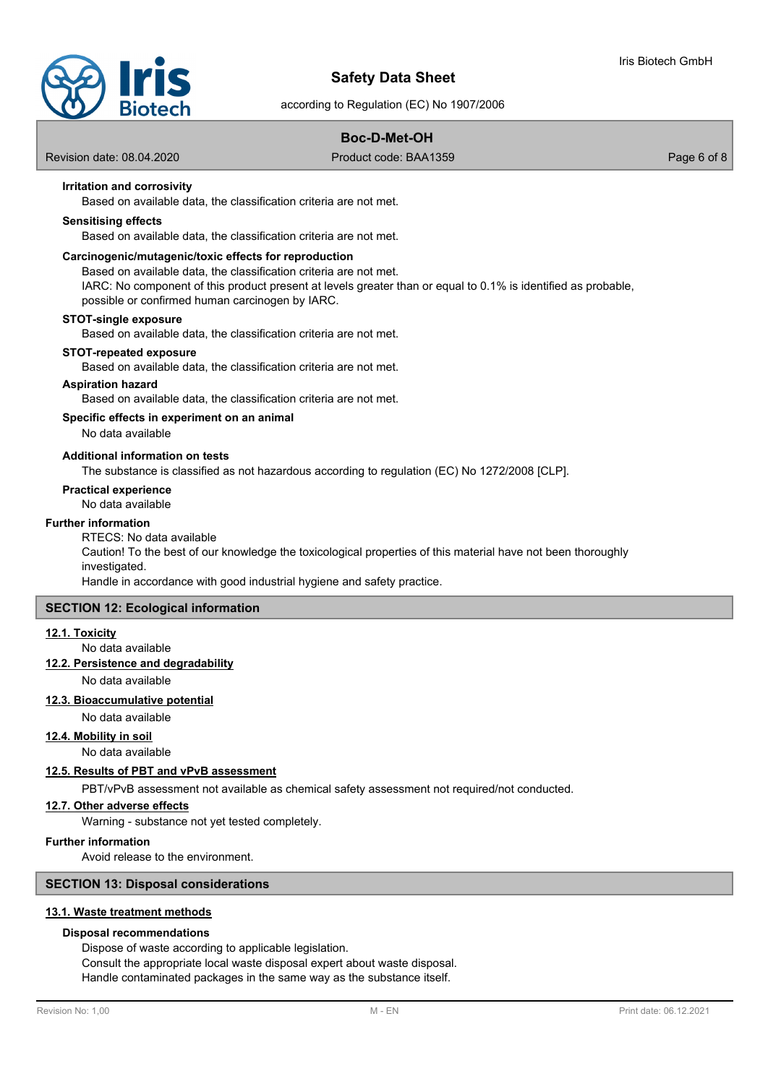

according to Regulation (EC) No 1907/2006

### **Boc-D-Met-OH**

Revision date: 08.04.2020 Product code: BAA1359 Page 6 of 8

### **Irritation and corrosivity**

Based on available data, the classification criteria are not met.

### **Sensitising effects**

Based on available data, the classification criteria are not met.

#### **Carcinogenic/mutagenic/toxic effects for reproduction**

Based on available data, the classification criteria are not met.

IARC: No component of this product present at levels greater than or equal to 0.1% is identified as probable, possible or confirmed human carcinogen by IARC.

#### **STOT-single exposure**

Based on available data, the classification criteria are not met.

#### **STOT-repeated exposure**

Based on available data, the classification criteria are not met.

### **Aspiration hazard**

Based on available data, the classification criteria are not met.

### **Specific effects in experiment on an animal**

No data available

### **Additional information on tests**

The substance is classified as not hazardous according to regulation (EC) No 1272/2008 [CLP].

#### **Practical experience**

No data available

#### **Further information**

RTECS: No data available

Caution! To the best of our knowledge the toxicological properties of this material have not been thoroughly investigated.

Handle in accordance with good industrial hygiene and safety practice.

### **SECTION 12: Ecological information**

#### **12.1. Toxicity**

No data available

### **12.2. Persistence and degradability**

No data available

#### **12.3. Bioaccumulative potential**

No data available

### **12.4. Mobility in soil**

No data available

### **12.5. Results of PBT and vPvB assessment**

PBT/vPvB assessment not available as chemical safety assessment not required/not conducted.

### **12.7. Other adverse effects**

Warning - substance not yet tested completely.

### **Further information**

Avoid release to the environment.

### **SECTION 13: Disposal considerations**

### **13.1. Waste treatment methods**

### **Disposal recommendations**

Dispose of waste according to applicable legislation. Consult the appropriate local waste disposal expert about waste disposal. Handle contaminated packages in the same way as the substance itself.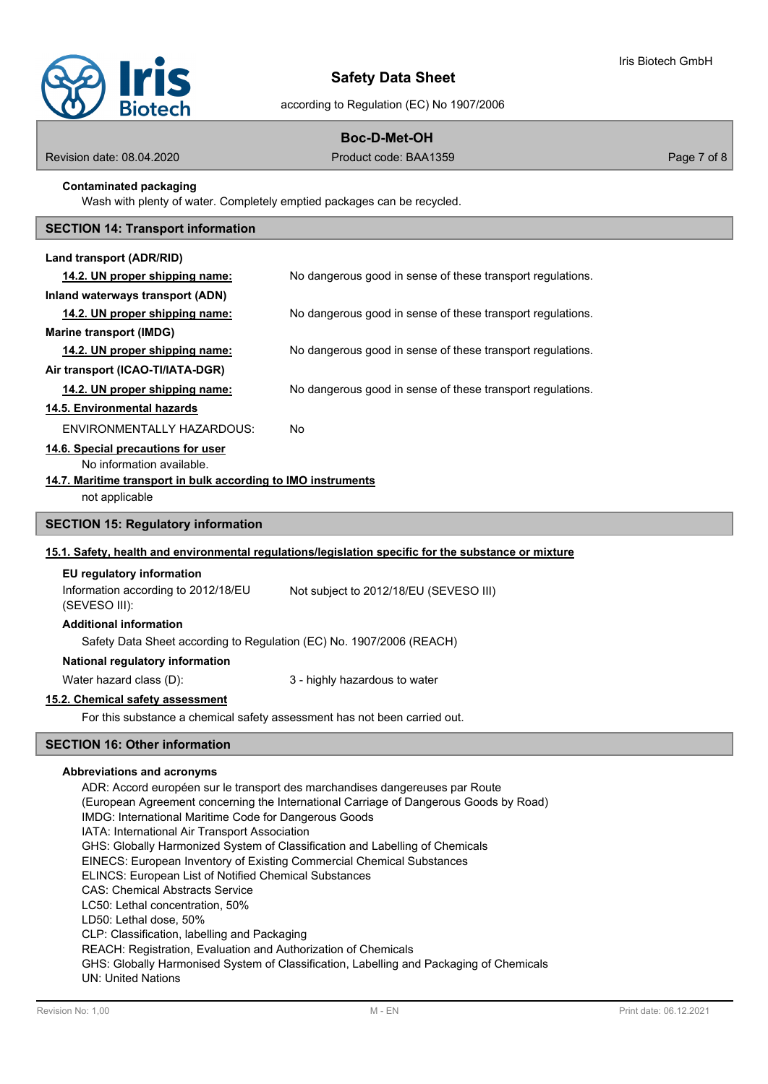

according to Regulation (EC) No 1907/2006

### **Boc-D-Met-OH**

Revision date: 08.04.2020 Product code: BAA1359 Page 7 of 8

### **Contaminated packaging**

Wash with plenty of water. Completely emptied packages can be recycled.

# **SECTION 14: Transport information**

| Land transport (ADR/RID)                                                                                                             |                                                                                                                                                                       |  |
|--------------------------------------------------------------------------------------------------------------------------------------|-----------------------------------------------------------------------------------------------------------------------------------------------------------------------|--|
| 14.2. UN proper shipping name:                                                                                                       | No dangerous good in sense of these transport regulations.                                                                                                            |  |
| Inland waterways transport (ADN)                                                                                                     |                                                                                                                                                                       |  |
| 14.2. UN proper shipping name:                                                                                                       | No dangerous good in sense of these transport regulations.                                                                                                            |  |
| <b>Marine transport (IMDG)</b>                                                                                                       |                                                                                                                                                                       |  |
| 14.2. UN proper shipping name:                                                                                                       | No dangerous good in sense of these transport regulations.                                                                                                            |  |
| Air transport (ICAO-TI/IATA-DGR)                                                                                                     |                                                                                                                                                                       |  |
| 14.2. UN proper shipping name:                                                                                                       | No dangerous good in sense of these transport regulations.                                                                                                            |  |
| 14.5. Environmental hazards                                                                                                          |                                                                                                                                                                       |  |
| ENVIRONMENTALLY HAZARDOUS:                                                                                                           | No                                                                                                                                                                    |  |
| 14.6. Special precautions for user                                                                                                   |                                                                                                                                                                       |  |
| No information available.                                                                                                            |                                                                                                                                                                       |  |
| 14.7. Maritime transport in bulk according to IMO instruments                                                                        |                                                                                                                                                                       |  |
| not applicable                                                                                                                       |                                                                                                                                                                       |  |
| <b>SECTION 15: Regulatory information</b>                                                                                            |                                                                                                                                                                       |  |
|                                                                                                                                      | 15.1. Safety, health and environmental regulations/legislation specific for the substance or mixture                                                                  |  |
| EU regulatory information                                                                                                            |                                                                                                                                                                       |  |
| Information according to 2012/18/EU<br>(SEVESO III):                                                                                 | Not subject to 2012/18/EU (SEVESO III)                                                                                                                                |  |
| <b>Additional information</b>                                                                                                        |                                                                                                                                                                       |  |
| Safety Data Sheet according to Regulation (EC) No. 1907/2006 (REACH)                                                                 |                                                                                                                                                                       |  |
| National regulatory information                                                                                                      |                                                                                                                                                                       |  |
| Water hazard class (D):                                                                                                              | 3 - highly hazardous to water                                                                                                                                         |  |
| 15.2. Chemical safety assessment                                                                                                     |                                                                                                                                                                       |  |
| For this substance a chemical safety assessment has not been carried out.                                                            |                                                                                                                                                                       |  |
| <b>SECTION 16: Other information</b>                                                                                                 |                                                                                                                                                                       |  |
| Abbreviations and acronyms<br>IMDG: International Maritime Code for Dangerous Goods<br>IATA: International Air Transport Association | ADR: Accord européen sur le transport des marchandises dangereuses par Route<br>(European Agreement concerning the International Carriage of Dangerous Goods by Road) |  |

GHS: Globally Harmonized System of Classification and Labelling of Chemicals

EINECS: European Inventory of Existing Commercial Chemical Substances

ELINCS: European List of Notified Chemical Substances

CAS: Chemical Abstracts Service

LC50: Lethal concentration, 50%

LD50: Lethal dose, 50%

CLP: Classification, labelling and Packaging

REACH: Registration, Evaluation and Authorization of Chemicals

GHS: Globally Harmonised System of Classification, Labelling and Packaging of Chemicals UN: United Nations